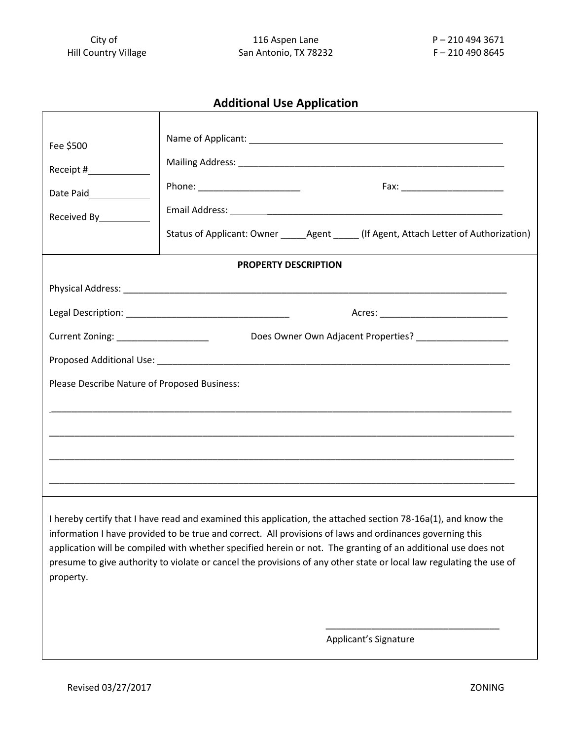## **Additional Use Application**

| Fee \$500<br>Receipt #<br>Date Paid______________<br>Received By___________                                                                                                                                                                                                                                                                                                                                                                                                    | Phone: _________________________<br>Status of Applicant: Owner ________ Agent _______ (If Agent, Attach Letter of Authorization) |
|--------------------------------------------------------------------------------------------------------------------------------------------------------------------------------------------------------------------------------------------------------------------------------------------------------------------------------------------------------------------------------------------------------------------------------------------------------------------------------|----------------------------------------------------------------------------------------------------------------------------------|
| <b>PROPERTY DESCRIPTION</b>                                                                                                                                                                                                                                                                                                                                                                                                                                                    |                                                                                                                                  |
|                                                                                                                                                                                                                                                                                                                                                                                                                                                                                |                                                                                                                                  |
|                                                                                                                                                                                                                                                                                                                                                                                                                                                                                |                                                                                                                                  |
| Current Zoning: ______________________                                                                                                                                                                                                                                                                                                                                                                                                                                         | Does Owner Own Adjacent Properties? ___________________                                                                          |
|                                                                                                                                                                                                                                                                                                                                                                                                                                                                                |                                                                                                                                  |
| Please Describe Nature of Proposed Business:                                                                                                                                                                                                                                                                                                                                                                                                                                   |                                                                                                                                  |
|                                                                                                                                                                                                                                                                                                                                                                                                                                                                                |                                                                                                                                  |
|                                                                                                                                                                                                                                                                                                                                                                                                                                                                                |                                                                                                                                  |
|                                                                                                                                                                                                                                                                                                                                                                                                                                                                                |                                                                                                                                  |
|                                                                                                                                                                                                                                                                                                                                                                                                                                                                                |                                                                                                                                  |
| I hereby certify that I have read and examined this application, the attached section 78-16a(1), and know the<br>information I have provided to be true and correct. All provisions of laws and ordinances governing this<br>application will be compiled with whether specified herein or not. The granting of an additional use does not<br>presume to give authority to violate or cancel the provisions of any other state or local law regulating the use of<br>property. |                                                                                                                                  |
| Applicant's Signature                                                                                                                                                                                                                                                                                                                                                                                                                                                          |                                                                                                                                  |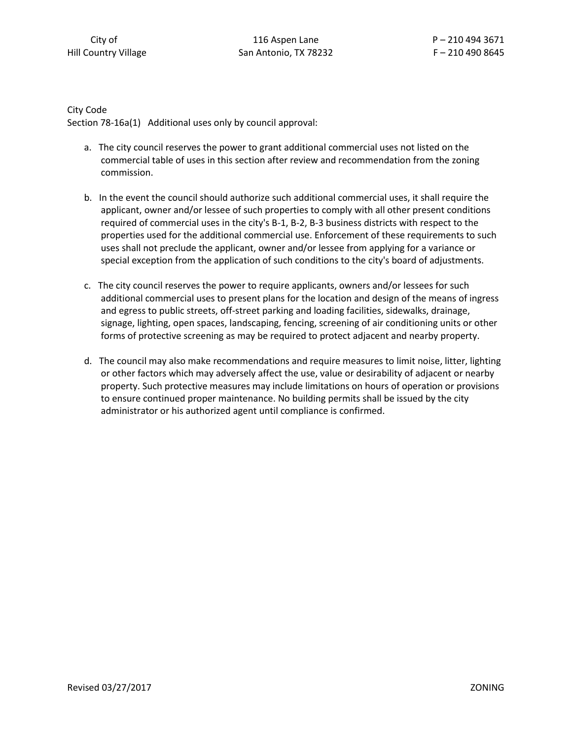City Code Section 78-16a(1) Additional uses only by council approval:

- a. The city council reserves the power to grant additional commercial uses not listed on the commercial table of uses in this section after review and recommendation from the zoning commission.
- b. In the event the council should authorize such additional commercial uses, it shall require the applicant, owner and/or lessee of such properties to comply with all other present conditions required of commercial uses in the city's B-1, B-2, B-3 business districts with respect to the properties used for the additional commercial use. Enforcement of these requirements to such uses shall not preclude the applicant, owner and/or lessee from applying for a variance or special exception from the application of such conditions to the city's board of adjustments.
- c. The city council reserves the power to require applicants, owners and/or lessees for such additional commercial uses to present plans for the location and design of the means of ingress and egress to public streets, off-street parking and loading facilities, sidewalks, drainage, signage, lighting, open spaces, landscaping, fencing, screening of air conditioning units or other forms of protective screening as may be required to protect adjacent and nearby property.
- d. The council may also make recommendations and require measures to limit noise, litter, lighting or other factors which may adversely affect the use, value or desirability of adjacent or nearby property. Such protective measures may include limitations on hours of operation or provisions to ensure continued proper maintenance. No building permits shall be issued by the city administrator or his authorized agent until compliance is confirmed.